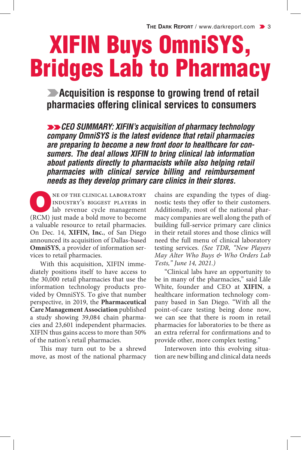# XIFIN Buys OmniSYS, Bridges Lab to Pharmacy

**Example 2 Acquisition is response to growing trend of retail pharmacies offering clinical services to consumers**

**EXAGO SUMMARY: XIFIN's acquisition of pharmacy technology** *company OmniSYS is the latest evidence that retail pharmacies are preparing to become a new front door to healthcare for consumers. The deal allows XIFIN to bring clinical lab information about patients directly to pharmacists while also helping retail pharmacies with clinical service billing and reimbursement needs as they develop primary care clinics in their stores.*

NE OF THE CLINICAL LABORATORY<br>
Independence cycle management industry's biggest players in lab revenue cycle management (RCM) just made a bold move to become a valuable resource to retail pharmacies. On Dec. 14, **XIFIN, Inc.**, of San Diego announced its acquisition of Dallas-based **OmniSYS**, a provider of information services to retail pharmacies.

With this acquisition, XIFIN immediately positions itself to have access to the 30,000 retail pharmacies that use the information technology products provided by OmniSYS. To give that number perspective, in 2019, the **Pharmaceutical Care Management Association** published a study showing 39,084 chain pharmacies and 23,601 independent pharmacies. XIFIN thus gains access to more than 50% of the nation's retail pharmacies.

This may turn out to be a shrewd move, as most of the national pharmacy chains are expanding the types of diagnostic tests they offer to their customers. Additionally, most of the national pharmacy companies are well along the path of building full-service primary care clinics in their retail stores and those clinics will need the full menu of clinical laboratory testing services. *(See TDR, "New Players May Alter Who Buys & Who Orders Lab Tests," June 14, 2021.)*

"Clinical labs have an opportunity to be in many of the pharmacies," said Lâle White, founder and CEO at **XIFIN**, a healthcare information technology company based in San Diego. "With all the point-of-care testing being done now, we can see that there is room in retail pharmacies for laboratories to be there as an extra referral for confirmations and to provide other, more complex testing."

Interwoven into this evolving situation are new billing and clinical data needs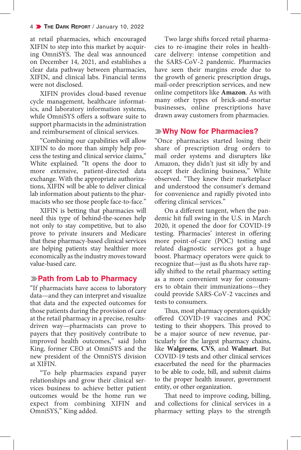at retail pharmacies, which encouraged XIFIN to step into this market by acquiring OmniSYS. The deal was announced on December 14, 2021, and establishes a clear data pathway between pharmacies, XIFIN, and clinical labs. Financial terms were not disclosed.

XIFIN provides cloud-based revenue cycle management, healthcare informatics, and laboratory information systems, while OmniSYS offers a software suite to support pharmacists in the administration and reimbursement of clinical services.

"Combining our capabilities will allow XIFIN to do more than simply help process the testing and clinical service claims," White explained. "It opens the door to more extensive, patient-directed data exchange. With the appropriate authorizations, XIFIN will be able to deliver clinical lab information about patients to the pharmacists who see those people face-to-face."

XIFIN is betting that pharmacies will need this type of behind-the-scenes help not only to stay competitive, but to also prove to private insurers and Medicare that these pharmacy-based clinical services are helping patients stay healthier more economically as the industry moves toward value-based care.

## k**Path from Lab to Pharmacy**

"If pharmacists have access to laboratory data—and they can interpret and visualize that data and the expected outcomes for those patients during the provision of care at the retail pharmacy in a precise, resultsdriven way—pharmacists can prove to payers that they positively contribute to improved health outcomes," said John King, former CEO at OmniSYS and the new president of the OmniSYS division at XIFIN.

"To help pharmacies expand payer relationships and grow their clinical services business to achieve better patient outcomes would be the home run we expect from combining XIFIN and OmniSYS," King added.

Two large shifts forced retail pharmacies to re-imagine their roles in healthcare delivery: intense competition and the SARS-CoV-2 pandemic. Pharmacies have seen their margins erode due to the growth of generic prescription drugs, mail-order prescription services, and new online competitors like **Amazon**. As with many other types of brick-and-mortar businesses, online prescriptions have drawn away customers from pharmacies.

## k**Why Now for Pharmacies?**

"Once pharmacies started losing their share of prescription drug orders to mail order systems and disrupters like Amazon, they didn't just sit idly by and accept their declining business," White observed. "They knew their marketplace and understood the consumer's demand for convenience and rapidly pivoted into offering clinical services."

On a different tangent, when the pandemic hit full swing in the U.S. in March 2020, it opened the door for COVID-19 testing. Pharmacies' interest in offering more point-of-care (POC) testing and related diagnostic services got a huge boost. Pharmacy operators were quick to recognize that—just as flu shots have rapidly shifted to the retail pharmacy setting as a more convenient way for consumers to obtain their immunizations—they could provide SARS-CoV-2 vaccines and tests to consumers.

Thus, most pharmacy operators quickly offered COVID-19 vaccines and POC testing to their shoppers. This proved to be a major source of new revenue, particularly for the largest pharmacy chains, like **Walgreens**, **CVS**, and **Walmart**. But COVID-19 tests and other clinical services exacerbated the need for the pharmacies to be able to code, bill, and submit claims to the proper health insurer, government entity, or other organization.

That need to improve coding, billing, and collections for clinical services in a pharmacy setting plays to the strength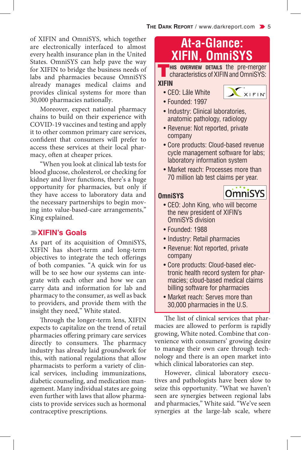of XIFIN and OmniSYS, which together are electronically interfaced to almost every health insurance plan in the United States. OmniSYS can help pave the way for XIFIN to bridge the business needs of labs and pharmacies because OmniSYS already manages medical claims and provides clinical systems for more than 30,000 pharmacies nationally.

Moreover, expect national pharmacy chains to build on their experience with COVID-19 vaccines and testing and apply it to other common primary care services, confident that consumers will prefer to access these services at their local pharmacy, often at cheaper prices.

"When you look at clinical lab tests for blood glucose, cholesterol, or checking for kidney and liver functions, there's a huge opportunity for pharmacies, but only if they have access to laboratory data and the necessary partnerships to begin moving into value-based-care arrangements," King explained.

## k**XIFIN's Goals**

As part of its acquisition of OmniSYS, XIFIN has short-term and long-term objectives to integrate the tech offerings of both companies. "A quick win for us will be to see how our systems can integrate with each other and how we can carry data and information for lab and pharmacy to the consumer, as well as back to providers, and provide them with the insight they need," White stated.

Through the longer-term lens, XIFIN expects to capitalize on the trend of retail pharmacies offering primary care services directly to consumers. The pharmacy industry has already laid groundwork for this, with national regulations that allow pharmacists to perform a variety of clinical services, including immunizations, diabetic counseling, and medication management. Many individual states are going even further with laws that allow pharmacists to provide services such as hormonal contraceptive prescriptions.

## **At-a-Glance: XIFIN, OmniSYS**

**This OVERVIEW DETAILS** the pre-merger characteristics of XIFIN and OmniSYS:

## **XIFIN**

• CEO: Lâle White • Founded: 1997



**OmniSYS** 

- Industry: Clinical laboratories, anatomic pathology, radiology
- Revenue: Not reported, private company
- Core products: Cloud-based revenue cycle management software for labs; laboratory information system
- Market reach: Processes more than 70 million lab test claims per year.

#### **OmniSYS**

- CEO: John King, who will become the new president of XIFIN's OmniSYS division
- Founded: 1988
- Industry: Retail pharmacies
- Revenue: Not reported, private company
- Core products: Cloud-based electronic health record system for pharmacies; cloud-based medical claims billing software for pharmacies
- Market reach: Serves more than 30,000 pharmacies in the U.S.

The list of clinical services that pharmacies are allowed to perform is rapidly growing, White noted. Combine that convenience with consumers' growing desire to manage their own care through technology and there is an open market into which clinical laboratories can step.

However, clinical laboratory executives and pathologists have been slow to seize this opportunity. "What we haven't seen are synergies between regional labs and pharmacies," White said. "We've seen synergies at the large-lab scale, where